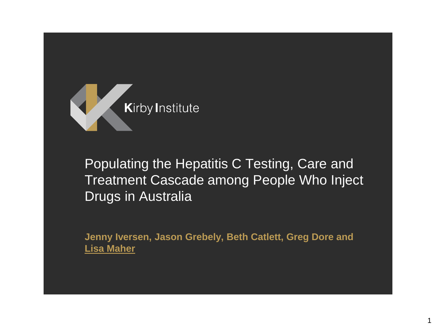

Populating the Hepatitis C Testing, Care and Treatment Cascade among People Who Inject Drugs in Australia

**Jenny Iversen, Jason Grebely, Beth Catlett, Greg Dore and Lisa Maher**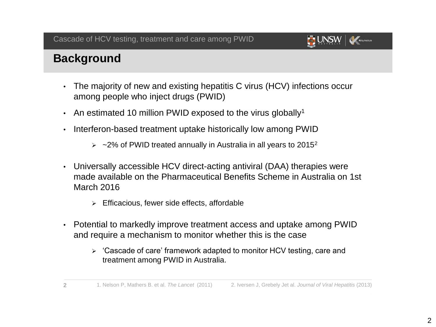

# **Background**

- The majority of new and existing hepatitis C virus (HCV) infections occur among people who inject drugs (PWID)
- An estimated 10 million PWID exposed to the virus globally<sup>1</sup>
- Interferon-based treatment uptake historically low among PWID
	- $\triangleright$  ~2% of PWID treated annually in Australia in all years to 2015<sup>2</sup>
- Universally accessible HCV direct-acting antiviral (DAA) therapies were made available on the Pharmaceutical Benefits Scheme in Australia on 1st March 2016
	- $\triangleright$  Efficacious, fewer side effects, affordable
- Potential to markedly improve treatment access and uptake among PWID and require a mechanism to monitor whether this is the case
	- $\triangleright$  'Cascade of care' framework adapted to monitor HCV testing, care and treatment among PWID in Australia.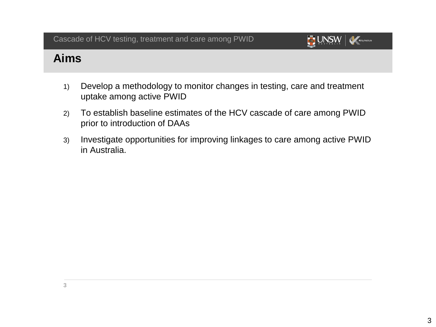

# **Aims**

- 1) Develop a methodology to monitor changes in testing, care and treatment uptake among active PWID
- 2) To establish baseline estimates of the HCV cascade of care among PWID prior to introduction of DAAs
- 3) Investigate opportunities for improving linkages to care among active PWID in Australia.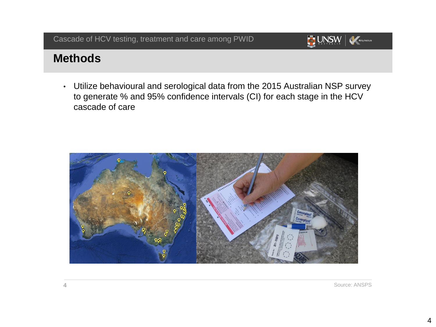

## **Methods**

• Utilize behavioural and serological data from the 2015 Australian NSP survey to generate % and 95% confidence intervals (CI) for each stage in the HCV cascade of care

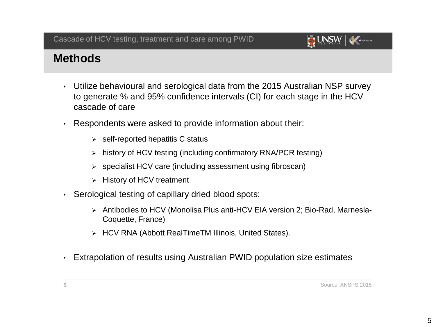

### **Methods**

- Utilize behavioural and serological data from the 2015 Australian NSP survey to generate % and 95% confidence intervals (CI) for each stage in the HCV cascade of care
- Respondents were asked to provide information about their:
	- $\triangleright$  self-reported hepatitis C status
	- $\triangleright$  history of HCV testing (including confirmatory RNA/PCR testing)
	- $\triangleright$  specialist HCV care (including assessment using fibroscan)
	- $\triangleright$  History of HCV treatment
- Serological testing of capillary dried blood spots:
	- Antibodies to HCV (Monolisa Plus anti-HCV EIA version 2; Bio-Rad, Marnesla-Coquette, France)
	- > HCV RNA (Abbott RealTimeTM Illinois, United States).
- Extrapolation of results using Australian PWID population size estimates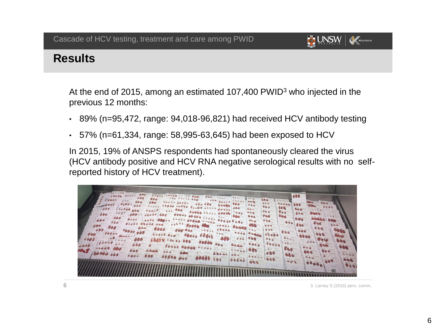

## **Results**

At the end of 2015, among an estimated 107,400 PWID<sup>3</sup> who injected in the previous 12 months:

- 89% (n=95,472, range: 94,018-96,821) had received HCV antibody testing
- $\cdot$  57% (n=61,334, range: 58,995-63,645) had been exposed to HCV

In 2015, 19% of ANSPS respondents had spontaneously cleared the virus (HCV antibody positive and HCV RNA negative serological results with no selfreported history of HCV treatment).

| <b>O Drug</b>                                                                                                                                                          | 000                                                                                                                                                                                                                                                                                                                                                                                                                     |
|------------------------------------------------------------------------------------------------------------------------------------------------------------------------|-------------------------------------------------------------------------------------------------------------------------------------------------------------------------------------------------------------------------------------------------------------------------------------------------------------------------------------------------------------------------------------------------------------------------|
| <b>MOA</b><br><b>AA</b>                                                                                                                                                |                                                                                                                                                                                                                                                                                                                                                                                                                         |
| 0.0.6<br>$-400$<br>88000<br>$0.8 - 0.0$<br>$\begin{array}{c} \circ & \circ \circ \end{array}$<br>400                                                                   |                                                                                                                                                                                                                                                                                                                                                                                                                         |
| <b>POO</b><br>100<br><b>Pr 12 15</b><br>000<br>$\begin{array}{c} 0 & 0 \\ 0 & 0 \end{array}$<br><br>                                                                   | 000                                                                                                                                                                                                                                                                                                                                                                                                                     |
| 000<br>000000<br>Pas<br>$\bullet \bullet$<br><b>BO 640 B</b><br><b>COO</b><br>906<br>000                                                                               | <br><b>COLE</b><br>1.6411                                                                                                                                                                                                                                                                                                                                                                                               |
| dk.o<br>4 4 4 4 4<br>$\theta P P$<br>eta.<br>00000<br>$\bullet$<br>0.0 <sub>a</sub><br>180                                                                             | 00000<br>400<br><b>ANE</b>                                                                                                                                                                                                                                                                                                                                                                                              |
| 0.0000<br><br><b>Depote</b><br><b>ADD</b><br>300<br>90653<br>SOORS<br>500<br><b>BA</b><br>0000                                                                         | 000<br>000<br>844                                                                                                                                                                                                                                                                                                                                                                                                       |
| $-0000$<br>0.09<br>500 000<br>9.9.4<br>1000000<br>500<br><b>00000 000</b><br>$\bullet$<br><br>$\bullet \bullet \bullet \bullet$<br><b>AGAA</b><br><b>RABO</b>          | -<br>$\begin{array}{c} \bullet\bullet\bullet \end{array}$<br>Several .<br>$\begin{picture}(20,20) \put(0,0){\line(1,0){0.5}} \put(15,0){\line(1,0){0.5}} \put(15,0){\line(1,0){0.5}} \put(15,0){\line(1,0){0.5}} \put(15,0){\line(1,0){0.5}} \put(15,0){\line(1,0){0.5}} \put(15,0){\line(1,0){0.5}} \put(15,0){\line(1,0){0.5}} \put(15,0){\line(1,0){0.5}} \put(15,0){\line(1,0){0.5}} \put(15,0){\line(1,0){0.5}} \$ |
| <b>Pro Cooo ddget</b><br><b>Bungalo</b><br>$r$ 44<br>$\begin{array}{c} \bullet & \bullet & \bullet \\ \bullet & \bullet & \bullet \end{array}$<br><br>$\bullet$<br>000 | 6000<br><b>Coco</b><br><b>ULLE</b>                                                                                                                                                                                                                                                                                                                                                                                      |
| 18997<br>$\begin{array}{c} \bullet & \bullet \\ \bullet & \bullet \end{array}$<br>600<br>$\bullet$<br><b>BARA</b><br>$\overline{c}$                                    | <b>DAU</b><br>100<br><b>William</b> Miles                                                                                                                                                                                                                                                                                                                                                                               |
| <b>FLE</b><br>$\overline{a}$<br>人名法登<br>000<br>$\overline{a} = \overline{a} \overline{a}$<br>1849.<br><b>AAAA</b><br><b>AMES</b><br>200                                | $\bullet\bullet\bullet$<br><br>$\bullet \bullet \bullet$                                                                                                                                                                                                                                                                                                                                                                |
| 600<br>866<br><br><b>COMMA</b><br><b>Ad MA OBA</b><br><b>ABA 44</b><br>$\bullet\bullet\bullet$<br>1000<br>0.000                                                        | 800<br>$\sqrt{1000}$<br><b>Keware</b><br>D.                                                                                                                                                                                                                                                                                                                                                                             |
| 00600<br><b>ASPER DOOR</b><br>606<br>500<br>71643                                                                                                                      | $\frac{1}{2}$<br>$\overline{\phantom{a}}$<br><b>Ford ATT</b><br><b><i>Mathematica</i></b>                                                                                                                                                                                                                                                                                                                               |
|                                                                                                                                                                        | <br>$\bullet \bullet \bullet$                                                                                                                                                                                                                                                                                                                                                                                           |
| $\eta$                                                                                                                                                                 | $- 100$                                                                                                                                                                                                                                                                                                                                                                                                                 |
|                                                                                                                                                                        |                                                                                                                                                                                                                                                                                                                                                                                                                         |

3. Larney S (2016) pers. comm.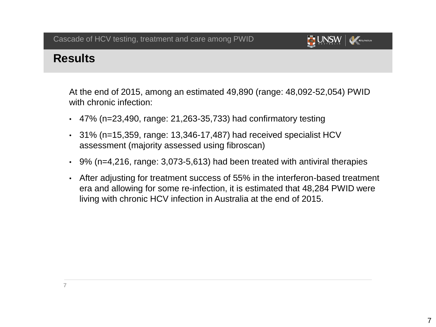

# **Results**

At the end of 2015, among an estimated 49,890 (range: 48,092-52,054) PWID with chronic infection:

- $\cdot$  47% (n=23,490, range: 21,263-35,733) had confirmatory testing
- $\cdot$  31% (n=15,359, range: 13,346-17,487) had received specialist HCV assessment (majority assessed using fibroscan)
- 9% (n=4,216, range: 3,073-5,613) had been treated with antiviral therapies
- After adjusting for treatment success of 55% in the interferon-based treatment era and allowing for some re-infection, it is estimated that 48,284 PWID were living with chronic HCV infection in Australia at the end of 2015.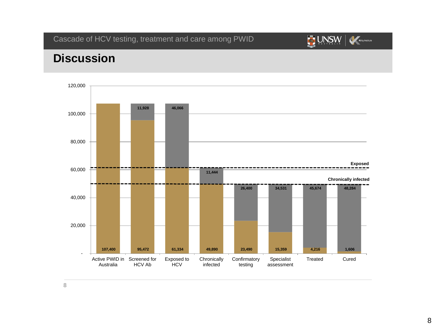

# **Discussion**

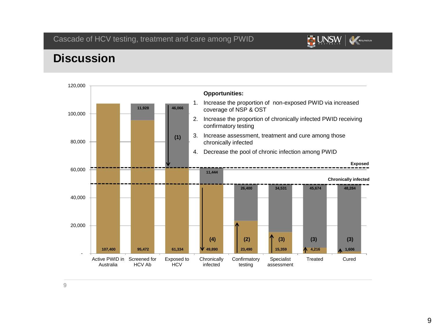

### **Discussion**

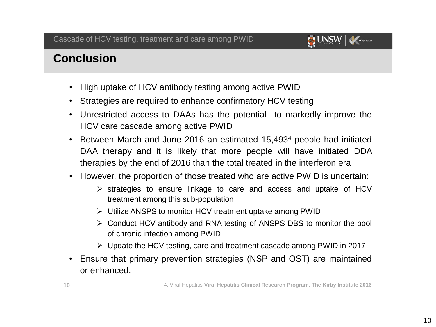

# **Conclusion**

- High uptake of HCV antibody testing among active PWID
- Strategies are required to enhance confirmatory HCV testing
- Unrestricted access to DAAs has the potential to markedly improve the HCV care cascade among active PWID
- Between March and June 2016 an estimated 15,493<sup>4</sup> people had initiated DAA therapy and it is likely that more people will have initiated DDA therapies by the end of 2016 than the total treated in the interferon era
- However, the proportion of those treated who are active PWID is uncertain:
	- $\triangleright$  strategies to ensure linkage to care and access and uptake of HCV treatment among this sub-population
	- Utilize ANSPS to monitor HCV treatment uptake among PWID
	- Conduct HCV antibody and RNA testing of ANSPS DBS to monitor the pool of chronic infection among PWID
	- $\triangleright$  Update the HCV testing, care and treatment cascade among PWID in 2017
- Ensure that primary prevention strategies (NSP and OST) are maintained or enhanced.